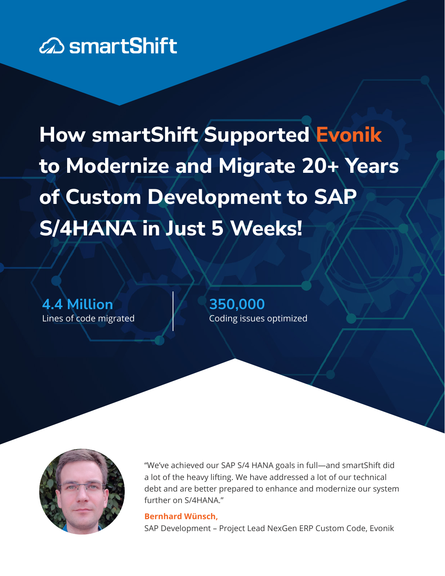

**How smartShift Supported Evonik to Modernize and Migrate 20+ Years of Custom Development to SAP S/4HANA in Just 5 Weeks!**

**4.4 Million** Lines of code migrated **350,000** Coding issues optimized



"We've achieved our SAP S/4 HANA goals in full—and smartShift did a lot of the heavy lifting. We have addressed a lot of our technical debt and are better prepared to enhance and modernize our system further on S/4HANA."

#### **Bernhard Wünsch,**

SAP Development – Project Lead NexGen ERP Custom Code, Evonik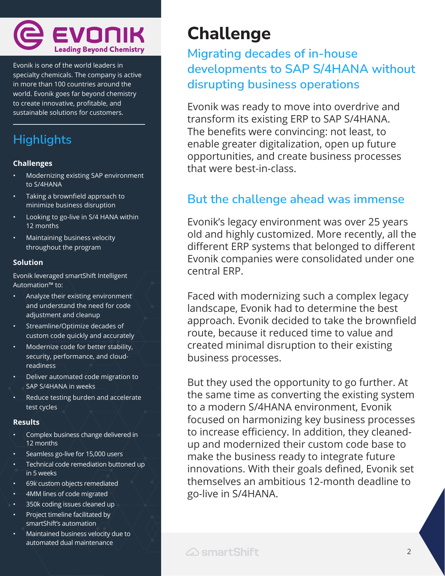

Evonik is one of the world leaders in specialty chemicals. The company is active in more than 100 countries around the world. Evonik goes far beyond chemistry to create innovative, profitable, and sustainable solutions for customers.

## **Highlights**

#### **Challenges**

- Modernizing existing SAP environment to S/4HANA
- Taking a brownfield approach to minimize business disruption
- Looking to go-live in S/4 HANA within 12 months
- Maintaining business velocity throughout the program

#### **Solution**

Evonik leveraged smartShift Intelligent Automation™ to:

- Analyze their existing environment and understand the need for code adjustment and cleanup
- Streamline/Optimize decades of custom code quickly and accurately
- Modernize code for better stability, security, performance, and cloudreadiness
- Deliver automated code migration to SAP S/4HANA in weeks
- Reduce testing burden and accelerate test cycles

#### **Results**

- Complex business change delivered in 12 months
- Seamless go-live for 15,000 users
- Technical code remediation buttoned up in 5 weeks
- 69k custom objects remediated
- 4MM lines of code migrated
- 350k coding issues cleaned up
- Project timeline facilitated by smartShift's automation
- Maintained business velocity due to automated dual maintenance

# **Challenge**

## **Migrating decades of in-house developments to SAP S/4HANA without disrupting business operations**

Evonik was ready to move into overdrive and transform its existing ERP to SAP S/4HANA. The benefits were convincing: not least, to enable greater digitalization, open up future opportunities, and create business processes that were best-in-class.

## **But the challenge ahead was immense**

Evonik's legacy environment was over 25 years old and highly customized. More recently, all the different ERP systems that belonged to different Evonik companies were consolidated under one central ERP.

Faced with modernizing such a complex legacy landscape, Evonik had to determine the best approach. Evonik decided to take the brownfield route, because it reduced time to value and created minimal disruption to their existing business processes.

But they used the opportunity to go further. At the same time as converting the existing system to a modern S/4HANA environment, Evonik focused on harmonizing key business processes to increase efficiency. In addition, they cleanedup and modernized their custom code base to make the business ready to integrate future innovations. With their goals defined, Evonik set themselves an ambitious 12-month deadline to go-live in S/4HANA.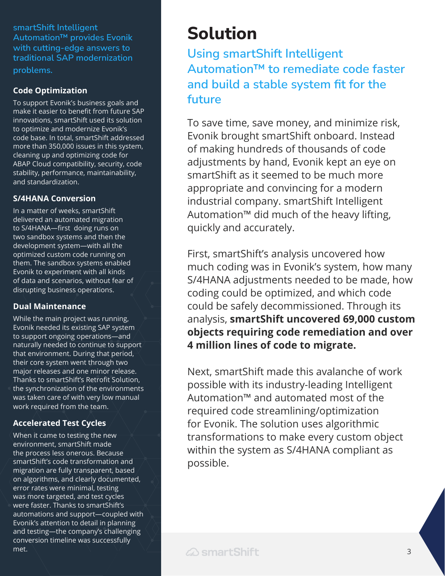**smartShift Intelligent Automation™ provides Evonik with cutting-edge answers to traditional SAP modernization problems.**

#### **Code Optimization**

To support Evonik's business goals and make it easier to benefit from future SAP innovations, smartShift used its solution to optimize and modernize Evonik's code base. In total, smartShift addressed more than 350,000 issues in this system, cleaning up and optimizing code for ABAP Cloud compatibility, security, code stability, performance, maintainability, and standardization.

#### **S/4HANA Conversion**

In a matter of weeks, smartShift delivered an automated migration to S/4HANA—first doing runs on two sandbox systems and then the development system—with all the optimized custom code running on them. The sandbox systems enabled Evonik to experiment with all kinds of data and scenarios, without fear of disrupting business operations.

#### **Dual Maintenance**

While the main project was running, Evonik needed its existing SAP system to support ongoing operations—and naturally needed to continue to support that environment. During that period, their core system went through two major releases and one minor release. Thanks to smartShift's Retrofit Solution, the synchronization of the environments was taken care of with very low manual work required from the team.

#### **Accelerated Test Cycles**

When it came to testing the new environment, smartShift made the process less onerous. Because smartShift's code transformation and migration are fully transparent, based on algorithms, and clearly documented, error rates were minimal, testing was more targeted, and test cycles were faster. Thanks to smartShift's automations and support—coupled with Evonik's attention to detail in planning and testing—the company's challenging conversion timeline was successfully met.

# **Solution**

**Using smartShift Intelligent Automation™ to remediate code faster and build a stable system fit for the future**

To save time, save money, and minimize risk, Evonik brought smartShift onboard. Instead of making hundreds of thousands of code adjustments by hand, Evonik kept an eye on smartShift as it seemed to be much more appropriate and convincing for a modern industrial company. smartShift Intelligent Automation™ did much of the heavy lifting, quickly and accurately.

First, smartShift's analysis uncovered how much coding was in Evonik's system, how many S/4HANA adjustments needed to be made, how coding could be optimized, and which code could be safely decommissioned. Through its analysis, **smartShift uncovered 69,000 custom objects requiring code remediation and over 4 million lines of code to migrate.**

Next, smartShift made this avalanche of work possible with its industry-leading Intelligent Automation™ and automated most of the required code streamlining/optimization for Evonik. The solution uses algorithmic transformations to make every custom object within the system as S/4HANA compliant as possible.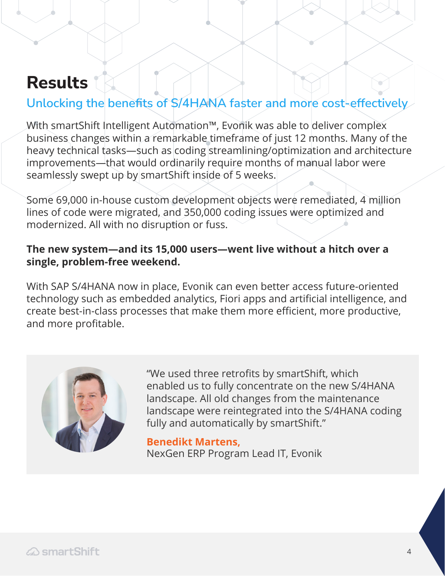# **Results**

## **Unlocking the benefits of S/4HANA faster and more cost-effectively**

With smartShift Intelligent Automation™, Evonik was able to deliver complex business changes within a remarkable timeframe of just 12 months. Many of the heavy technical tasks—such as coding streamlining/optimization and architecture improvements—that would ordinarily require months of manual labor were seamlessly swept up by smartShift inside of 5 weeks.

Some 69,000 in-house custom development objects were remediated, 4 million lines of code were migrated, and 350,000 coding issues were optimized and modernized. All with no disruption or fuss.

### **The new system—and its 15,000 users—went live without a hitch over a single, problem-free weekend.**

With SAP S/4HANA now in place, Evonik can even better access future-oriented technology such as embedded analytics, Fiori apps and artificial intelligence, and create best-in-class processes that make them more efficient, more productive, and more profitable.



"We used three retrofits by smartShift, which enabled us to fully concentrate on the new S/4HANA landscape. All old changes from the maintenance landscape were reintegrated into the S/4HANA coding fully and automatically by smartShift."

**Benedikt Martens,**  NexGen ERP Program Lead IT, Evonik